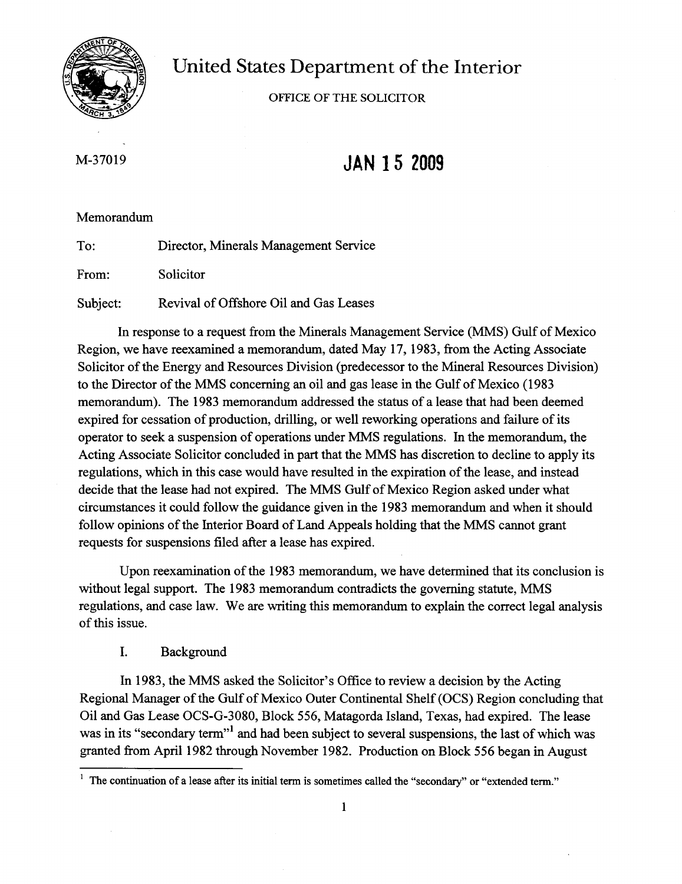

United States Department of the Interior

OFFICE OF THE SOLICITOR

M-37019

# **JAN 15 2009**

# Memorandum

To: From: Subject: Director, Minerals Management Service Solicitor Revival of Offshore Oil and Gas Leases

In response to a request from the Minerals Management Service (MMS) Gulf of Mexico Region, we have reexamined a memorandum, dated May 17, 1983, from the Acting Associate Solicitor of the Energy and Resources Division (predecessor to the Mineral Resources Division) to the Director of the MMS concerning an oil and gas lease in the Gulf of Mexico (1983) memorandum). The 1983 memorandum addressed the status of a lease that had been deemed expired for cessation of production, drilling, or well reworking operations and failure of its operator to seek a suspension of operations under MMS regulations. In the memorandum, the Acting Associate Solicitor concluded in part that the MMS has discretion to decline to apply its regulations, which in this case would have resulted in the expiration of the lease, and instead decide that the lease had not expired. The MMS Gulf of Mexico Region asked under what circumstances it could follow the guidance given in the 1983 memorandum and when it should follow opinions of the Interior Board of Land Appeals holding that the MMS cannot grant requests for suspensions filed after a lease has expired.

Upon reexamination of the 1983 memorandum, we have determined that its conclusion is without legal support. The 1983 memorandum contradicts the governing statute, MMS regulations, and case law. We are writing this memorandum to explain the correct legal analysis of this issue.

# I. Background

In 1983, the MMS asked the Solicitor's Office to review a decision by the Acting Regional Manager of the Gulf of Mexico Outer Continental Shelf (OCS) Region concluding that Oil and Gas Lease OCS-G-3080, Block 556, Matagorda Island, Texas, had expired. The lease was in its "secondary term"<sup>1</sup> and had been subject to several suspensions, the last of which was granted from April 1982 through November 1982. Production on Block 556 began in August

 $1$  The continuation of a lease after its initial term is sometimes called the "secondary" or "extended term."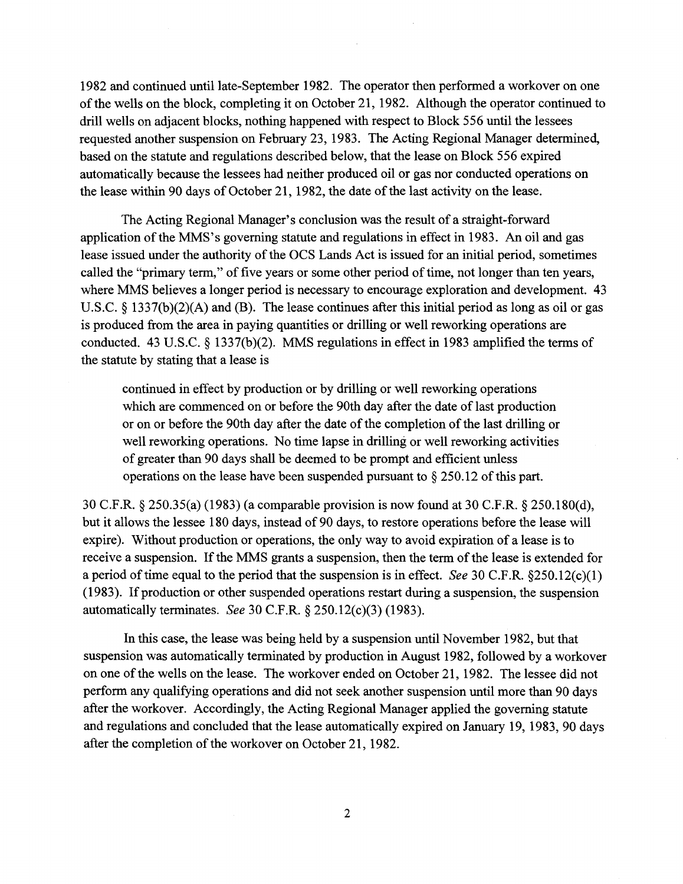1982 and continued until late-September 1982. The operator then performed a workover on one of the wells on the block, completing it on October 21, 1982. Although the operator continued to drill wells on adjacent blocks, nothing happened with respect to Block 556 until the lessees requested another suspension on February 23, 1983. The Acting Regional Manager determined, based on the statute and regulations described below, that the lease on Block 556 expired automatically because the lessees had neither produced oil or gas nor conducted operations on the lease within 90 days of October 21, 1982, the date of the last activity on the lease.

The Acting Regional Manager's conclusion was the result of a straight-forward application of the MMS's governing statute and regulations in effect in 1983. An oil and gas lease issued under the authority of the OCS Lands Act is issued for an initial period, sometimes called the "primary term," of five years or some other period of time, not longer than ten years, where MMS believes a longer period is necessary to encourage exploration and development. 43 U.S.c. § 1337(b)(2)(A) and (B). The lease continues after this initial period as long as oil or gas is produced from the area in paying quantities or drilling or well reworking operations are conducted. 43 U.S.C. § 1337(b)(2). MMS regulations in effect in 1983 amplified the terms of the statute by stating that a lease is

continued in effect by production or by drilling or well reworking operations which are commenced on or before the 90th day after the date of last production or on or before the 90th day after the date of the completion of the last drilling or well reworking operations. No time lapse in drilling or well reworking activities of greater than 90 days shall be deemed to be prompt and efficient unless operations on the lease have been suspended pursuant to  $\S 250.12$  of this part.

30 C.F.R. § 250.35(a) (1983) (a comparable provision is now found at 30 C.F.R. § 250.180(d), but it allows the lessee 180 days, instead of 90 days, to restore operations before the lease will expire). Without production or operations, the only way to avoid expiration of a lease is to receive a suspension. If the MMS grants a suspension, then the term of the lease is extended for a period oftime equal to the period that the suspension is in effect. *See* 30 C.F.R. §250.12(c)(1) (1983). If production or other suspended operations restart during a suspension, the suspension automatically terminates. *See* 30 C.F.R. § 250.12(c)(3) (1983).

In this case, the lease was being held by a suspension until November 1982, but that suspension was automatically terminated by production in August 1982, followed by a workover on one of the wells on the lease. The workover ended on October 21, 1982. The lessee did not perform any qualifying operations and did not seek another suspension until more than 90 days after the workover. Accordingly, the Acting Regional Manager applied the governing statute and regulations and concluded that the lease automatically expired on January 19, 1983, 90 days after the completion of the workover on October 21, 1982.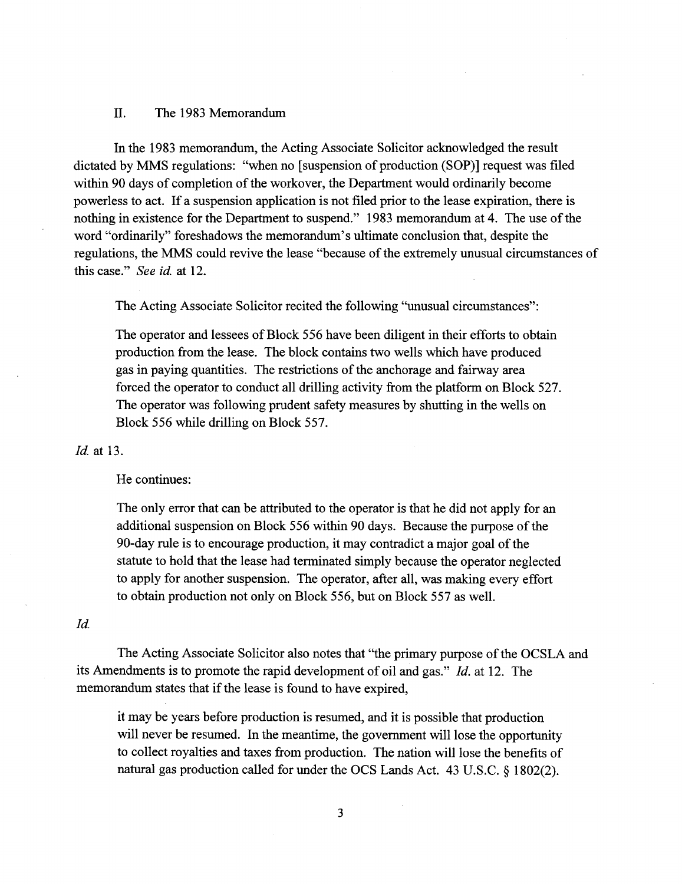#### II. The 1983 Memorandum

In the 1983 memorandum, the Acting Associate Solicitor acknowledged the result dictated by MMS regulations: "when no [suspension of production (SOP)] request was filed within 90 days of completion of the workover, the Department would ordinarily become powerless to act. If a suspension application is not filed prior to the lease expiration, there is nothing in existence for the Department to suspend." 1983 memorandum at 4. The use of the word "ordinarily" foreshadows the memorandum's ultimate conclusion that, despite the regulations, the MMS could revive the lease "because of the extremely unusual circumstances of this case." *See id.* at 12.

The Acting Associate Solicitor recited the following "unusual circumstances":

The operator and lessees of Block 556 have been diligent in their efforts to obtain production from the lease. The block contains two wells which have produced gas in paying quantities. The restrictions of the anchorage and fairway area forced the operator to conduct all drilling activity from the platform on Block 527. The operator was following prudent safety measures by shutting in the wells on Block 556 while drilling on Block 557.

#### *Id.* at 13.

## He continues:

The only error that can be attributed to the operator is that he did not apply for an additional suspension on Block 556 within 90 days. Because the purpose of the 90-day rule is to encourage production, it may contradict a major goal of the statute to hold that the lease had terminated simply because the operator neglected to apply for another suspension. The operator, after all, was making every effort to obtain production not only on Block 556, but on Block 557 as well.

#### *Id.*

The Acting Associate Solicitor also notes that "the primary purpose of the OCSLA and its Amendments is to promote the rapid development of oil and gas." *Id.* at 12. The memorandum states that if the lease is found to have expired,

it may be years before production is resumed, and it is possible that production will never be resumed. In the meantime, the government will lose the opportunity to collect royalties and taxes from production. The nation will lose the benefits of natural gas production called for under the OCS Lands Act. 43 U.S.C. § 1802(2).

3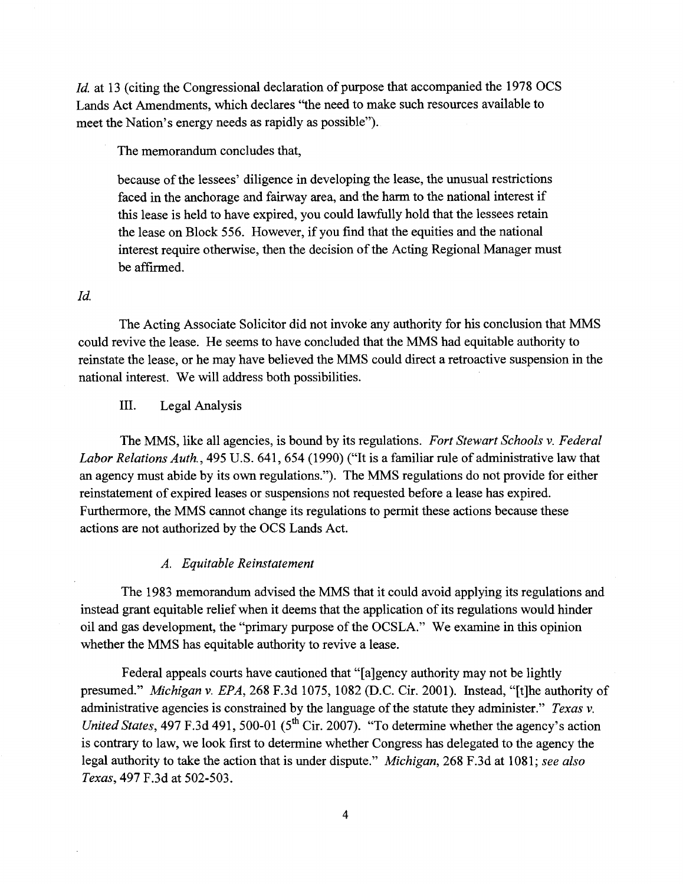*Id.* at 13 (citing the Congressional declaration of purpose that accompanied the 1978 OCS Lands Act Amendments, which declares "the need to make such resources available to meet the Nation's energy needs as rapidly as possible").

The memorandum concludes that,

because of the lessees' diligence in developing the lease, the unusual restrictions faced in the anchorage and fairway area, and the harm to the national interest if this lease is held to have expired, you could lawfully hold that the lessees retain the lease on Block 556. However, if you find that the equities and the national interest require otherwise, then the decision of the Acting Regional Manager must be affirmed.

#### *Id.*

The Acting Associate Solicitor did not invoke any authority for his conclusion that MMS could revive the lease. He seems to have concluded that the MMS had equitable authority to reinstate the lease, or he may have believed the MMS could direct a retroactive suspension in the national interest. We will address both possibilities.

# III. Legal Analysis

The MMS, like all agencies, is bound by its regulations. *Fort Stewart Schools* v. *Federal Labor Relations Auth.,* 495 U.S. 641, 654 (1990) ("It is a familiar rule of administrative law that an agency must abide by its own regulations."). The MMS regulations do not provide for either reinstatement of expired leases or suspensions not requested before a lease has expired. Furthermore, the MMS cannot change its regulations to permit these actions because these actions are not authorized by the OCS Lands Act.

#### *A. Equitable Reinstatement*

The 1983 memorandum advised the MMS that it could avoid applying its regulations and instead grant equitable relief when it deems that the application ofits regulations would hinder oil and gas development, the "primary purpose of the OCSLA." We examine in this opinion whether the MMS has equitable authority to revive a lease.

Federal appeals courts have cautioned that "[a]gency authority may not be lightly presumed." *Michigan* v. *EPA,* 268 F.3d 1075, 1082 (D.C. Cir. 2001). Instead, "[t]he authority of administrative agencies is constrained by the language of the statute they administer." *Texas* v. *United States,* 497 F.3d 491, 500-01 (5<sup>th</sup> Cir. 2007). "To determine whether the agency's action is contrary to law, we look first to determine whether Congress has delegated to the agency the legal authority to take the action that is under dispute." *Michigan,* 268 F.3d at 1081; *see also Texas,* 497 F.3d at 502-503.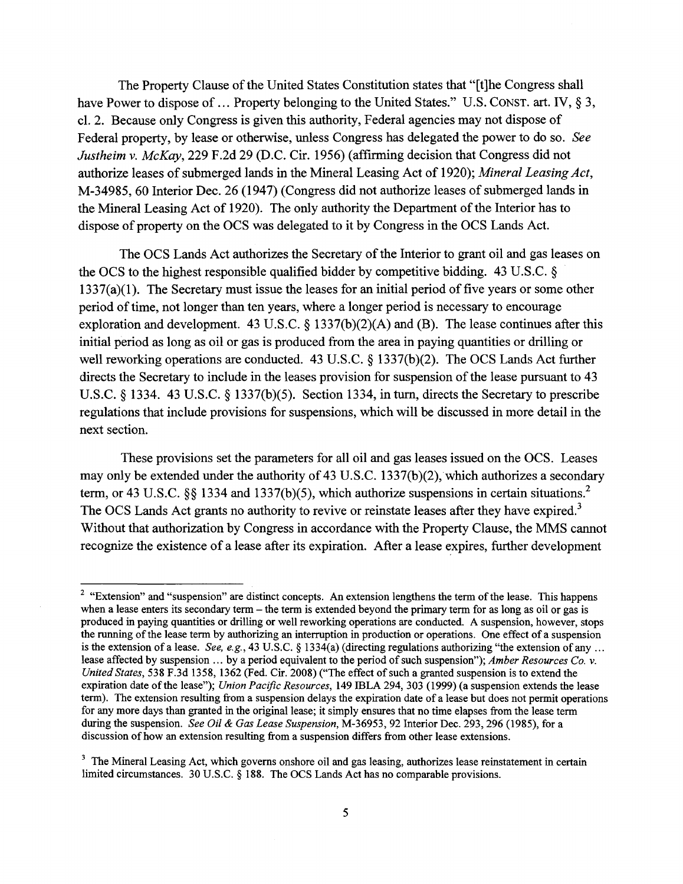The Property Clause of the United States Constitution states that "[t]he Congress shall have Power to dispose of ... Property belonging to the United States." U.S. CONST. art. IV, § 3, cl. 2. Because only Congress is given this authority, Federal agencies may not dispose of Federal property, by lease or otherwise, unless Congress has delegated the power to do so. *See Justheim* v. *McKay,* 229 F.2d 29 (D.C. Cir. 1956) (affirming decision that Congress did not authorize leases of submerged lands in the Mineral Leasing Act of 1920); *Mineral Leasing Act*, M-34985, 60 Interior Dec. 26 (1947) (Congress did not authorize leases of submerged lands in the Mineral Leasing Act of 1920). The only authority the Department of the Interior has to dispose of property on the OCS was delegated to it by Congress in the OCS Lands Act.

The OCS Lands Act authorizes the Secretary of the Interior to grant oil and gas leases on the OCS to the highest responsible qualified bidder by competitive bidding. 43 U.S.C. §  $1337(a)(1)$ . The Secretary must issue the leases for an initial period of five years or some other period of time, not longer than ten years, where a longer period is necessary to encourage exploration and development. 43 U.S.C. § 1337(b)(2)(A) and (B). The lease continues after this initial period as long as oil or gas is produced from the area in paying quantities or drilling or well reworking operations are conducted. 43 U.S.C. § 1337(b)(2). The OCS Lands Act further directs the Secretary to include in the leases provision for suspension of the lease pursuant to 43 U.S.C. § 1334. 43 U.S.C. § 1337(b)(5). Section 1334, in turn, directs the Secretary to prescribe regulations that include provisions for suspensions, which will be discussed in more detail in the next section.

These provisions set the parameters for all oil and gas leases issued on the OCS. Leases may only be extended under the authority of 43 U.S.C. 1337(b)(2), which authorizes a secondary term, or 43 U.S.C. §§ 1334 and 1337(b)(5), which authorize suspensions in certain situations.<sup>2</sup> The OCS Lands Act grants no authority to revive or reinstate leases after they have expired.<sup>3</sup> Without that authorization by Congress in accordance with the Property Clause, the MMS cannot recognize the existence of a lease after its expiration. After a lease expires, further development

<sup>&</sup>lt;sup>2</sup> "Extension" and "suspension" are distinct concepts. An extension lengthens the term of the lease. This happens when a lease enters its secondary term – the term is extended beyond the primary term for as long as oil or gas is produced in paying quantities or drilling or well reworking operations are conducted. A suspension, however, stops the running of the lease term by authorizing an interruption in production or operations. One effect of a suspension is the extension of a lease. *See, e.g.*, 43 U.S.C. § 1334(a) (directing regulations authorizing "the extension of any ... lease affected by suspension ... by a period equivalent to the period ofsuch suspension"); *Amber Resources Co.* v. *United States,* 538 F.3d 1358, 1362 (Fed. Cir. 2008) ("The effect of such a granted suspension is to extend the expiration date ofthe lease"); *Union Pacific Resources,* 149 ffiLA 294,303 (1999) (a suspension extends the lease tenn). The extension resulting from a suspension delays the expiration date of a lease but does not pennit operations for any more days than granted in the original lease; it simply ensures that no time elapses from the lease tenn during the suspension. *See Oil* & *Gas Lease Suspension,* M-36953, 92 Interior Dec. 293, 296 (1985), for a discussion of how an extension resulting from a suspension differs from other lease extensions.

<sup>&</sup>lt;sup>3</sup> The Mineral Leasing Act, which governs onshore oil and gas leasing, authorizes lease reinstatement in certain limited circumstances. 30 U.S.C. § 188. The OCS Lands Act has no comparable provisions.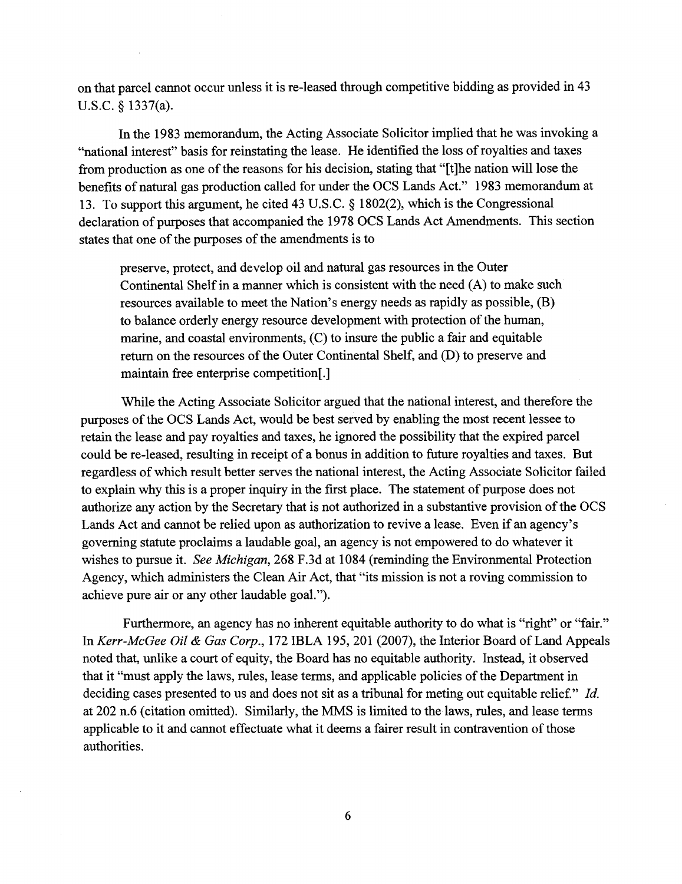on that parcel cannot occur unless it is re-Ieased through competitive bidding as provided in 43 U.S.C. § 1337(a).

In the 1983 memorandum, the Acting Associate Solicitor implied that he was invoking a "national interest" basis for reinstating the lease. He identified the loss of royalties and taxes from production as one of the reasons for his decision, stating that "[t]he nation will lose the benefits of natural gas production called for under the OCS Lands Act." 1983 memorandum at 13. To support this argument, he cited 43 U.S.c. § 1802(2), which is the Congressional declaration of purposes that accompanied the 1978 OCS Lands Act Amendments. This section states that one of the purposes of the amendments is to

preserve, protect, and develop oil and natural gas resources in the Outer Continental Shelf in a manner which is consistent with the need  $(A)$  to make such resources available to meet the Nation's energy needs as rapidly as possible, (B) to balance orderly energy resource development with protection of the human, marine, and coastal environments, (C) to insure the public a fair and equitable return on the resources of the Outer Continental Shelf, and (D) to preserve and maintain free enterprise competition[.]

While the Acting Associate Solicitor argued that the national interest, and therefore the purposes of the OCS Lands Act, would be best served by enabling the most recent lessee to retain the lease and pay royalties and taxes, he ignored the possibility that the expired parcel could be re-Ieased, resulting in receipt of a bonus in addition to future royalties and taxes. But regardless of which result better serves the national interest, the Acting Associate Solicitor failed to explain why this is a proper inquiry in the first place. The statement of purpose does not authorize any action by the Secretary that is not authorized in a substantive provision of the OCS Lands Act and cannot be relied upon as authorization to revive a lease. Even if an agency's governing statute proclaims a laudable goal, an agency is not empowered to do whatever it wishes to pursue it. *See Michigan,* 268 F.3d at 1084 (reminding the Environmental Protection Agency, which administers the Clean Air Act, that "its mission is not a roving commission to achieve pure air or any other laudable goal.").

Furthermore, an agency has no inherent equitable authority to do what is "right" or "fair." In *Kerr-McGee Oil* & *Gas Corp.,* 172 IBLA 195,201 (2007), the Interior Board of Land Appeals noted that, unlike a court of equity, the Board has no equitable authority. Instead, it observed that it "must apply the laws, rules, lease terms, and applicable policies of the Department in deciding cases presented to us and does not sit as a tribunal for meting out equitable relief." *Id.* at 202 n.6 (citation omitted). Similarly, the MMS is limited to the laws, rules, and lease terms applicable to it and cannot effectuate what it deems a fairer result in contravention of those authorities.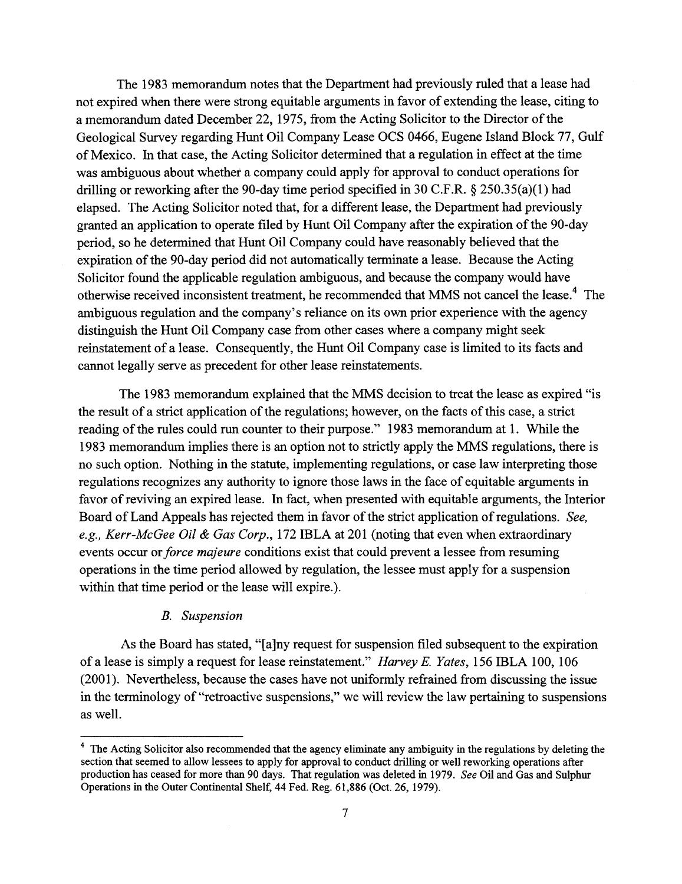The 1983 memorandum notes that the Department had previously ruled that a lease had not expired when there were strong equitable arguments in favor of extending the lease, citing to a memorandum dated December 22, 1975, from the Acting Solicitor to the Director of the Geological Survey regarding Hunt Oil Company Lease OCS 0466, Eugene Island Block 77, Gulf ofMexico. In that case, the Acting Solicitor determined that a regulation in effect at the time was ambiguous about whether a company could apply for approval to conduct operations for drilling or reworking after the 90-day time period specified in 30 C.F.R. § 250.35(a)(1) had elapsed. The Acting Solicitor noted that, for a different lease, the Department had previously granted an application to operate filed by Hunt Oil Company after the expiration of the 90-day period, so he determined that Hunt Oil Company could have reasonably believed that the expiration of the 90-day period did not automatically terminate a lease. Because the Acting Solicitor found the applicable regulation ambiguous, and because the company would have otherwise received inconsistent treatment, he recommended that MMS not cancel the lease.<sup>4</sup> The ambiguous regulation and the company's reliance on its own prior experience with the agency distinguish the Hunt Oil Company case from other cases where a company might seek reinstatement of a lease. Consequently, the Hunt Oil Company case is limited to its facts and cannot legally serve as precedent for other lease reinstatements.

The 1983 memorandum explained that the MMS decision to treat the lease as expired "is the result of a strict application of the regulations; however, on the facts of this case, a strict reading of the rules could run counter to their purpose." 1983 memorandum at 1. While the 1983 memorandum implies there is an option not to strictly apply the MMS regulations, there is no such option. Nothing in the statute, implementing regulations, or case law interpreting those regulations recognizes any authority to ignore those laws in the face of equitable arguments in favor of reviving an expired lease. In fact, when presented with equitable arguments, the Interior Board of Land Appeals has rejected them in favor of the strict application of regulations. *See, e.g., Kerr-McGee Oil* & *Gas Corp.,* 172 IBLA at 201 (noting that even when extraordinary events occur or *force majeure* conditions exist that could prevent a lessee from resuming operations in the time period allowed by regulation, the lessee must apply for a suspension within that time period or the lease will expire.).

## *B. Suspension*

As the Board has stated, "[a]ny request for suspension filed subsequent to the expiration of a lease is simply a request for lease reinstatement." *Harvey* E. *Yates,* 156 IBLA 100, 106 (2001). Nevertheless, because the cases have not uniformly refrained from discussing the issue in the terminology of "retroactive suspensions," we will review the law pertaining to suspensions as well.

<sup>&</sup>lt;sup>4</sup> The Acting Solicitor also recommended that the agency eliminate any ambiguity in the regulations by deleting the section that seemed to allow lessees to apply for approval to conduct drilling or well reworking operations after production has ceased for more than 90 days. That regulation was deleted in 1979. *See* Oil and Gas and Sulphur Operations in the Outer Continental Shelf, 44 Fed. Reg. 61,886 (Oct. 26, 1979).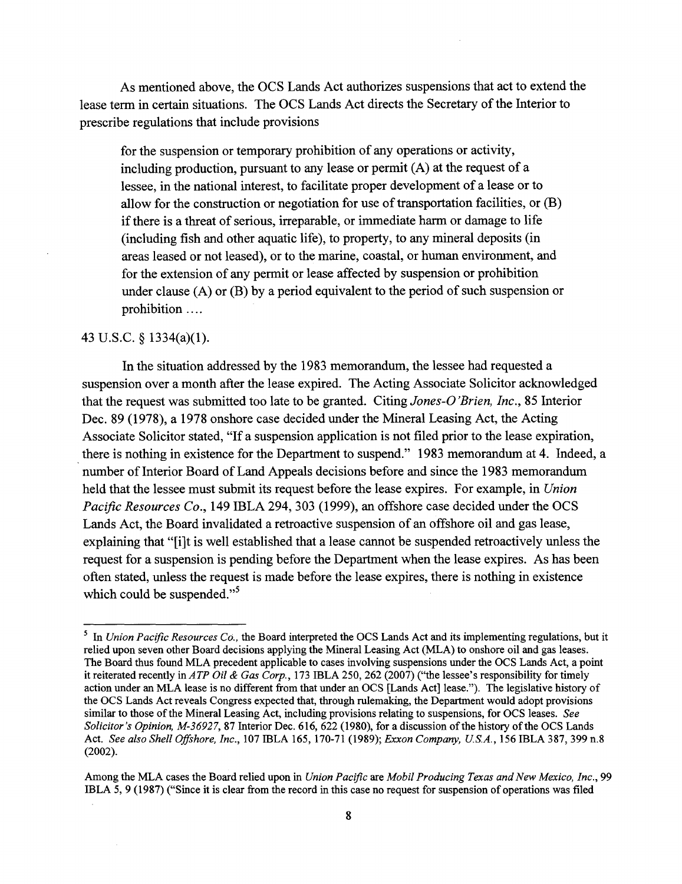As mentioned above, the OCS Lands Act authorizes suspensions that act to extend the lease term in certain situations. The OCS Lands Act directs the Secretary of the Interior to prescribe regulations that include provisions

for the suspension or temporary prohibition of any operations or activity, including production, pursuant to any lease or permit (A) at the request of a lessee, in the national interest, to facilitate proper development of a lease or to allow for the construction or negotiation for use of transportation facilities, or  $(B)$ if there is a threat of serious, irreparable, or immediate harm or damage to life (including fish and other aquatic life), to property, to any mineral deposits (in areas leased or not leased), or to the marine, coastal, or human environment, and for the extension of any permit or lease affected by suspension or prohibition under clause (A) or (B) by a period equivalent to the period of such suspension or prohibition ....

## 43 U.S.C. § 1334(a)(1).

In the situation addressed by the 1983 memorandum, the lessee had requested a suspension over a month after the lease expired. The Acting Associate Solicitor acknowledged that the request was submitted too late to be granted. Citing *Jones-O 'Brien, Inc.,* 85 Interior Dec. 89 (1978), a 1978 onshore case decided under the Mineral Leasing Act, the Acting Associate Solicitor stated, "If a suspension application is not filed prior to the lease expiration, there is nothing in existence for the Department to suspend." 1983 memorandum at 4. Indeed, a number of Interior Board of Land Appeals decisions before and since the 1983 memorandum held that the lessee must submit its request before the lease expires. For example, in *Union Pacific Resources Co.*, 149 IBLA 294, 303 (1999), an offshore case decided under the OCS Lands Act, the Board invalidated a retroactive suspension of an offshore oil and gas lease, explaining that "[i]t is well established that a lease cannot be suspended retroactively unless the request for a suspension is pending before the Department when the lease expires. As has been often stated, unless the request is made before the lease expires, there is nothing in existence which could be suspended. $,5$ 

<sup>5</sup> In *Union Pacific Resources Co.,* the Board interpreted the Des Lands Act and its implementing regulations, but it relied upon seven other Board decisions applying the Mineral Leasing Act (MLA) to onshore oil and gas leases. The Board thus found MLA precedent applicable to cases involving suspensions under the OCS Lands Act, a point it reiterated recently in *ATP Oil* & *Gas Corp.,* 173 IBLA 250,262 (2007) ("the lessee's responsibility for timely action under an MLA lease is no different from that under an OCS [Lands Act] lease."). The legislative history of the DeS Lands Act reveals Congress expected that, through rulemaking, the Department would adopt provisions similar to those of the Mineral Leasing Act, including provisions relating to suspensions, for OCS leases. *See Solicitor's Opinion, M-36927,* 87 Interior Dec. 616, 622 (1980), for a discussion ofthe history ofthe DeS Lands Act. *See also Shell Offshore, Inc.,* 107 IBLA 165, 170-71 (1989); *Exxon Company, USA.,* 156 IBLA 387,399 n.8 (2002).

Among the MLA cases the Board relied upon in *Union Pacific* are *Mobil Producing Texas andNew Mexico, Inc., 99* IBLA 5, 9 (1987) ("Since it is clear from the record in this case no request for suspension of operations was filed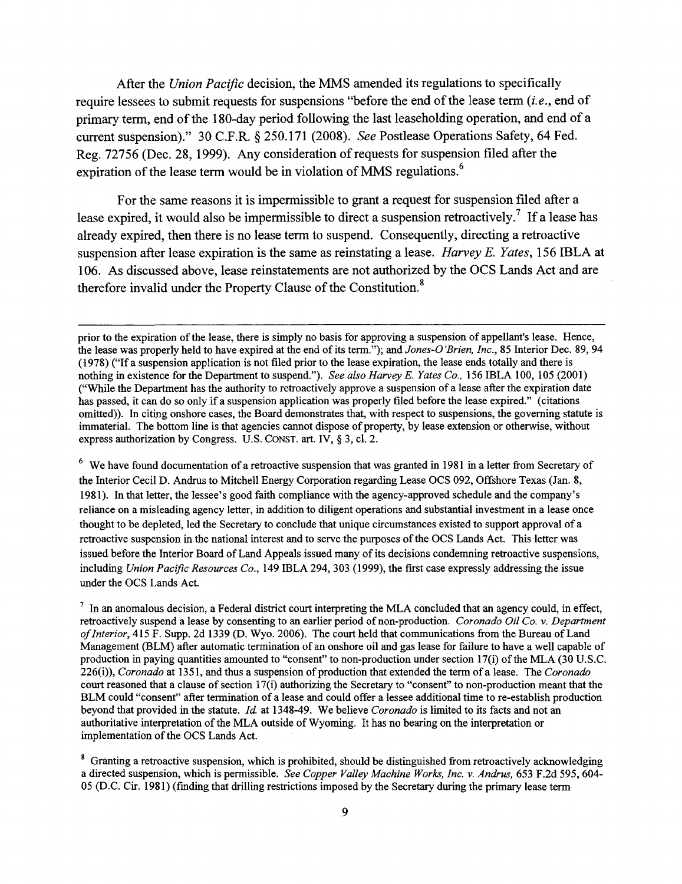After the *Union Pacific* decision, the MMS amended its regulations to specifically require lessees to submit requests for suspensions "before the end of the lease term *(i.e.,* end of primary term, end of the 180-day period following the last leaseholding operation, and end of a current suspension)." 30 C.F.R. § 250.171 (2008). *See* Postlease Operations Safety, 64 Fed. Reg. 72756 (Dec. 28, 1999). Any consideration of requests for suspension filed after the expiration of the lease term would be in violation of MMS regulations.<sup>6</sup>

For the same reasons it is impermissible to grant a request for suspension filed after a lease expired, it would also be impermissible to direct a suspension retroactively.<sup>7</sup> If a lease has already expired, then there is no lease term to suspend. Consequently, directing a retroactive suspension after lease expiration is the same as reinstating a lease. *Harvey E. Yates,* 156 IBLA at 106. As discussed above, lease reinstatements are not authorized by the OCS Lands Act and are therefore invalid under the Property Clause of the Constitution.<sup>8</sup>

 $6\,$  We have found documentation of a retroactive suspension that was granted in 1981 in a letter from Secretary of the Interior Cecil D. Andrus to Mitchell Energy Corporation regarding Lease OCS 092, Offshore Texas (Jan. 8, 1981). In that letter, the lessee's good faith compliance with the agency-approved schedule and the company's reliance on a misleading agency letter, in addition to diligent operations and substantial investment in a lease once thought to be depleted, led the Secretary to conclude that unique circumstances existed to support approval of a retroactive suspension in the national interest and to serve the purposes ofthe OCS Lands Act. This letter was issued before the Interior Board of Land Appeals issued many of its decisions condemning retroactive suspensions, including *Union Pacific Resources Co.,* 149 IBLA 294,303 (1999), the fIrst case expressly addressing the issue under the OCS Lands Act.

 $<sup>7</sup>$  In an anomalous decision, a Federal district court interpreting the MLA concluded that an agency could, in effect,</sup> retroactively suspend a lease by consenting to an earlier period of non-production. *Coronado Oil Co.* v. *Department ofInterior,* 415 F. Supp. 2d 1339 (D. Wyo. 2006). The court held that communications from the Bureau ofLand Management (BLM) after automatic termination of an onshore oil and gas lease for failure to have a well capable of production in paying quantities amounted to "consent" to non-production under section 17(i) of the MLA (30 U.S.C. 226(i)), *Coronado* at 1351, and thus a suspension of production that extended the tenn ofa lease. The *Coronado* court reasoned that a clause of section  $17(i)$  authorizing the Secretary to "consent" to non-production meant that the BLM could "consent" after tennination of a lease and could offer a lessee additional time to re-establish production beyond that provided in the statute. */d.* at 1348-49. We believe *Coronado* is limited to its facts and not an authoritative interpretation of the MLA outside of Wyoming. It has no bearing on the interpretation or implementation of the OCS Lands Act.

<sup>8</sup> Granting a retroactive suspension, which is prohibited, should be distinguished from retroactively acknowledging a directed suspension, which is pennissible. *See Copper Valley Machine Works, Inc.* v. *Andrus,* 653 F.2d 595, 604- 05 (D.C. Cir. 1981) (fmding that drilling restrictions imposed by the Secretary during the primary lease tenn

prior to the expiration ofthe lease, there is simply no basis for approving a suspension of appellant's lease. Hence, the lease was properly held to have expired at the end ofits tenn."); and *Jones-O'Brien, Inc.,* 85 Interior Dec. 89,94 (1978) ("If a suspension application is not filed prior to the lease expiration, the lease ends totally and there is nothing in existence for the Department to suspend."). *See also Harvey E. Yates Co.,* 156IBLA 100, 105 (2001) ("While the Department has the authority to retroactively approve a suspension of a lease after the expiration date has passed, it can do so only if a suspension application was properly filed before the lease expired." (citations omitted)). In citing onshore cases, the Board demonstrates that, with respect to suspensions, the governing statute is immaterial. The bottom line is that agencies cannot dispose of property, by lease extension or otherwise, without express authorization by Congress. U.S. CONST. art. IV, § 3, cl. 2.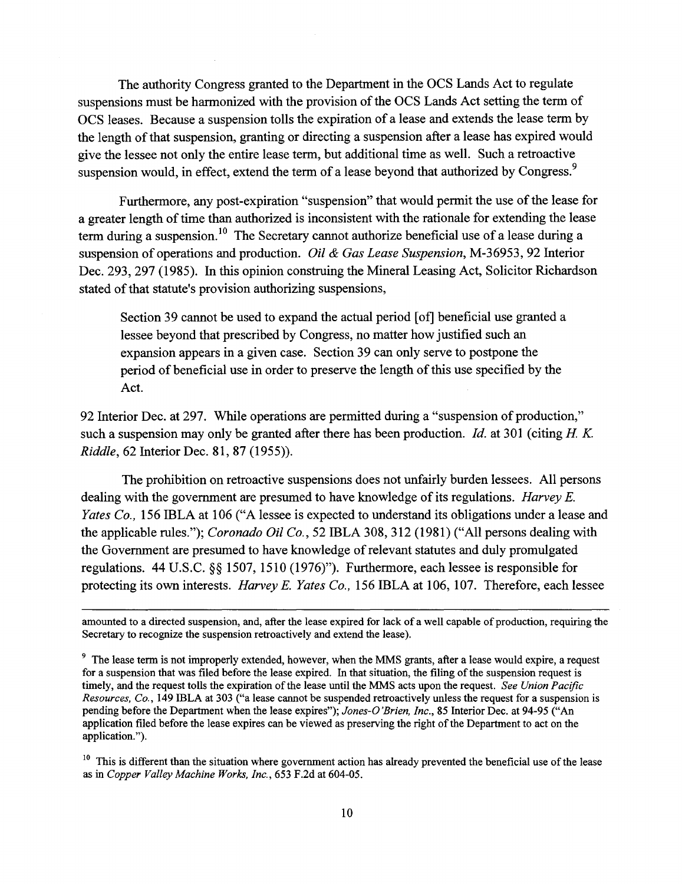The authority Congress granted to the Department in the OCS Lands Act to regulate suspensions must be harmonized with the provision of the OCS Lands Act setting the term of OCS leases. Because a suspension tolls the expiration of a lease and extends the lease term by the length of that suspension, granting or directing a suspension after a lease has expired would give the lessee not only the entire lease term, but additional time as well. Such a retroactive suspension would, in effect, extend the term of a lease beyond that authorized by Congress.<sup>9</sup>

Furthermore, any post-expiration "suspension" that would permit the use of the lease for a greater length of time than authorized is inconsistent with the rationale for extending the lease term during a suspension. <sup>10</sup> The Secretary cannot authorize beneficial use of a lease during a suspension of operations and production. *Oil* & *Gas Lease Suspension,* M-36953, 92 Interior Dec. 293, 297 (1985). **In** this opinion construing the Mineral Leasing Act, Solicitor Richardson stated of that statute's provision authorizing suspensions,

Section 39 cannot be used to expand the actual period [of] beneficial use granted a lessee beyond that prescribed by Congress, no matter how justified such an expansion appears in a given case. Section 39 can only serve to postpone the period of beneficial use in order to preserve the length of this use specified by the Act.

92 Interior Dec. at 297. While operations are permitted during a "suspension of production," such a suspension may only be granted after there has been production. *Id.* at 301 (citing *H K. Riddle,* 62 Interior Dec. 81, 87 (1955)).

The prohibition on retroactive suspensions does not unfairly burden lessees. All persons dealing with the government are presumed to have knowledge of its regulations. *Harvey E. Yates Co.,* 156 IBLA at 106 ("A lessee is expected to understand its obligations under a lease and the applicable rules."); *Coronado Oil Co.,* 52 IBLA 308, 312 (1981) ("All persons dealing with the Government are presumed to have knowledge of relevant statutes and duly promulgated regulations. 44 U.S.C. §§ 1507, 1510 (1976)"). Furthermore, each lessee is responsible for protecting its own interests. *Harvey* E. *Yates Co.,* 156 IBLA at 106, 107. Therefore, each lessee

amounted to a directed suspension, and, after the lease expired for lack of a well capable of production, requiring the Secretary to recognize the suspension retroactively and extend the lease).

<sup>&</sup>lt;sup>9</sup> The lease term is not improperly extended, however, when the MMS grants, after a lease would expire, a request for a suspension that was filed before the lease expired. In that situation, the filing of the suspension request is timely, and the request tolls the expiration of the lease until the MMS acts upon the request. *See Union Pacific Resources, Co.,* 149 IBLA at 303 ("a lease cannot be suspended retroactively unless the request for a suspension is pending before the Department when the lease expires"); *Jones-O 'Brien, Inc.,* 85 Interior Dec. at 94-95 ("An application filed before the lease expires can be viewed as preserving the right ofthe Department to act on the application.").

<sup>&</sup>lt;sup>10</sup> This is different than the situation where government action has already prevented the beneficial use of the lease as in *Copper Valley Machine Works, Inc.,* 653 F.2d at 604-05.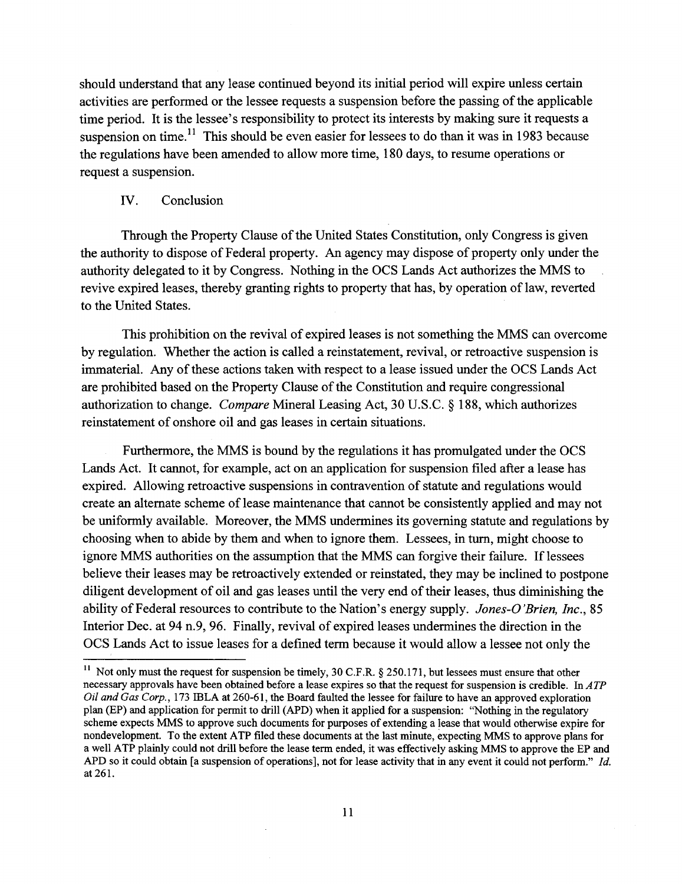should understand that any lease continued beyond its initial period will expire unless certain activities are performed or the lessee requests a suspension before the passing of the applicable time period. It is the lessee's responsibility to protect its interests by making sure it requests a suspension on time.<sup>11</sup> This should be even easier for lessees to do than it was in 1983 because the regulations have been amended to allow more time, 180 days, to resume operations or request a suspension.

## IV. Conclusion

Through the Property Clause of the United States Constitution, only Congress is given the authority to dispose of Federal property. An agency may dispose of property only under the authority delegated to it by Congress. Nothing in the DCS Lands Act authorizes the MMS to revive expired leases, thereby granting rights to property that has, by operation of law, reverted to the United States.

This prohibition on the revival of expired leases is not something the MMS can overcome by regulation. Whether the action is called a reinstatement, revival, or retroactive suspension is immaterial. Any of these actions taken with respect to a lease issued under the OCS Lands Act are prohibited based on the Property Clause of the Constitution and require congressional authorization to change. *Compare* Mineral Leasing Act, 30 U.S.C. § 188, which authorizes reinstatement of onshore oil and gas leases in certain situations.

Furthermore, the MMS is bound by the regulations it has promulgated under the OCS Lands Act. It cannot, for example, act on an application for suspension filed after a lease has expired. Allowing retroactive suspensions in contravention of statute and regulations would create an alternate scheme oflease maintenance that cannot be consistently applied and may not be uniformly available. Moreover, the MMS undermines its governing statute and regulations by choosing when to abide by them and when to ignore them. Lessees, in tum, might choose to ignore MMS authorities on the assumption that the MMS can forgive their failure. If lessees believe their leases may be retroactively extended or reinstated, they may be inclined to postpone diligent development of oil and gas leases until the very end of their leases, thus diminishing the ability of Federal resources to contribute to the Nation's energy supply. *Jones-O'Brien, Inc., 85* Interior Dec. at 94 n.9, 96. Finally, revival of expired leases undermines the direction in the OCS Lands Act to issue leases for a defmed term because it would allow a lessee not only the

<sup>&</sup>lt;sup>11</sup> Not only must the request for suspension be timely, 30 C.F.R. § 250.171, but lessees must ensure that other necessary approvals have been obtained before a lease expires so that the request for suspension is credible. In *ATP Oil and Gas Corp.,* 173 lELA at 260-61, the Board faulted the lessee for failure to have an approved exploration plan (EP) and application for permit to drill (APD) when it applied for a suspension: "Nothing in the regulatory scheme expects MMS to approve such documents for purposes of extending a lease that would otherwise expire for nondevelopment. To the extent ATP filed these documents at the last minute, expecting MMS to approve plans for a well ATP plainly could not drill before the lease term ended, it was effectively asking MMS to approve the EP and APD so it could obtain [a suspension of operations], not for lease activity that in any event it could not perform." *Id.* at 261.